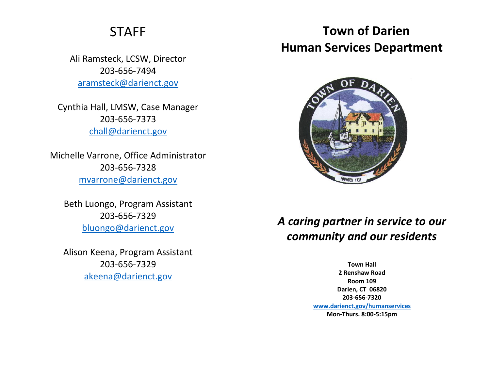## STAFF

Ali Ramsteck, LCSW, Director 203-656-7494 [aramsteck@darienct.gov](mailto:aramsteck@darienct.gov)

Cynthia Hall, LMSW, Case Manager 203-656-7373 [chall@darienct.gov](mailto:chall@darienct.gov)

Michelle Varrone, Office Administrator 203-656-7328 [mvarrone@darienct.gov](mailto:mvarrone@darienct.gov)

Beth Luongo, Program Assistant 203-656-7329 [bluongo@darienct.gov](mailto:bluongo@darienct.gov)

Alison Keena, Program Assistant 203-656-7329 [akeena@darienct.gov](mailto:akeena@darienct.gov)

## **Town of Darien Human Services Department**



## *A caring partner in service to our community and our residents*

**Town Hall 2 Renshaw Road Room 109 Darien, CT 06820 203-656-7320 [www.darienct.gov/humanservices](http://www.darienct.gov/humanservices) Mon-Thurs. 8:00-5:15pm**